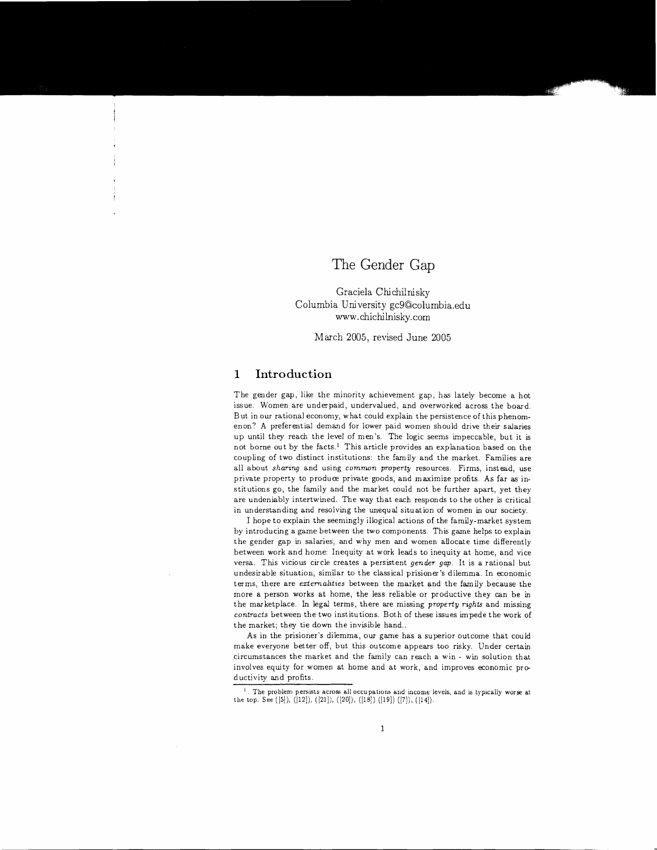# The Gender Gap

Graciela Chichilnisky Columbia University gc9@columbia.edu www.chichilnisky.cor

March 2005, revised June 2005

# 1 Introduction

The gender gap, like the minority achievement gap, has lately become a hot issue. Women are underpaid, undervalued, and overworked across the board. But in our rational economy, what could explain the persistence of this phenomenon? A preferential demand for lower paid women shouid drive their salaries up until they reach the Jevel of men's. The logic seems impeccable, but it is not borne out by the facts.<sup>1</sup> This article provides an explanation based on the coupling of two distinct institutions: the family and the market. Families are all about sharing and using common property resources. Firms, instead, use private property to produce private goods, and maximize profits. As far as institutions go, the family and the market could not be further apart, yet they are undeniably intertwined. The way that each responds to the other is criticai in understanding and resolving the unequal situation of women in our society.

I hope to expiain the seemingly illogical actions of the family-market system by introducing a game between the two components. This game helps to explain the gender gap in salaries, and why men and women allocate time differently between work and home: Inequity at work leads to inequity at home, and vice versa. This vicious circle creates a persistent gender gap. It is a rational but undesirable situation, similar to the classical prisioner's dilemma. In economic terms, there are externalities between the market and the family because the more a person works at home, the less reliable or productive they can be in the marketplace. In legal terms, there are missing property rights and missing contracts between the two institutions. Both of these issues impede the work of the market; they tie down the invisibie hand..

As in the prisioner's dilemma, our game has a superior outcome that could make everyone better off, but this outcome appeaxs too risky. Under certain circumstances the market and the family can reach a win - win solution that involves equity for women at home and at work, and improves economic pro ductivity and profits.

 $l$ . The problem persists across all occupations and income levels, and is typically worse at. the top. See ([5]), ([12]), ([21]), ([20]), ([18]) ([19]) ([7]), ([14]).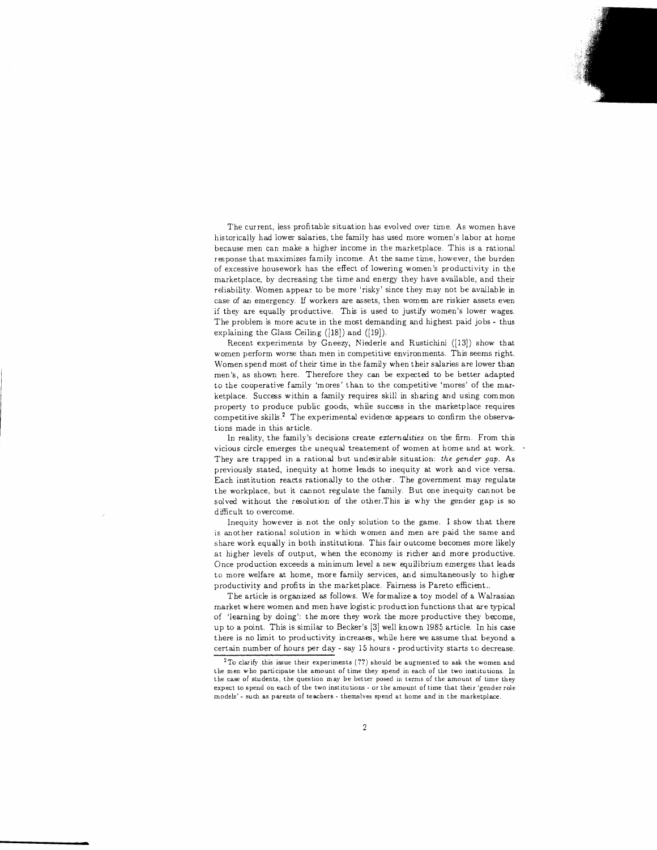The current, less profitable situation has evolved over time. As women have historically had lower salaries, the family has used nore wonen's labor at home because men can nake a higher income in the marketplace. This is a rational response that maximizes family income. At the same time, however, the burden of excessive housework has the effect of lowering women's productivity in the marketplace, by decreasing the time and energy they have available, and their reliability. Women appear to be more 'risky' since they may not be available in case of an emergency. If workers are assets, then women are riskier assets even if they are equaily productive. This is used to justify women's lower wages. The probiem is more acute in the most demanding and highest paid jobs - thus explaining the Glass Ceiling ([18]) and ([19]).

Recent experiments by Gneezy, Niederle and Rustichini ([13]) show that women perform worse than men in competitive environments. This seems right. Women spend most of their time in the family when their salaries are lower than men's, as shown here. Therefore they can be expected to be better adapted to the cooperative family'mores'than to the competitive'mores' of the marketplace. Success within a family requires skill in sharing and using common property to produce public goods, while success in the marketplace requires competitive skills.<sup>2</sup> The experimental evidence appears to confirm the observations made in this article.

ln reality, the family's decisions create esternalities on the firm. From this vicious circle emerges the unequd treatement of women at home and at work. They are trapped in a rational but undesirable situation: the gender gap. As previously stated, inequity at home leads to inequity at work and vice versa. Each institution reacts rationally to the other. The government may regulate the workplace, but it cannot regulate the family. But one inequity cannot be solved without the resolution of the other.This is why the gender gap is so difficult to overcome.

Inequity however is not the only solution to the game. I show that there is another rational solution in which women and men are paid the same and share work equally in both institutions. This fair outcome becomes more likely ar higher levels of output, when the economy is richer and more productive. Once production exceeds a minimum level a new equilibrium emerges that leads to more welfare at home, more famiiy services, and simultaneously to higher productivity and profits in the marketplace. Fairness is Pareto efficient..

The article is organized as follows. We formalize a toy model of a Walrasian market where women and men have logistic production functions that are typical of 'learning by doing': the more they work the more productive they become, up to a point. This is similar to Becker's [3] well known 1985 article. In his case there is no limit to productivity increases , whiie here we assume that beyond a certain number of hours per day - say 15 hours - productivity starts to decrease.

 $2$ To clarify this issue their experiments (??) should be augmented to ask the women and the men who participate the amount of time they spend in each of the two institutions. In the case of students, the question may be better posed in ternrs of the amount of time tbey expect to spend on each of the two institutions - or the amount of time tbat their'gender role models'- such as parents of teachers - themslves spend at home and in the marketplace.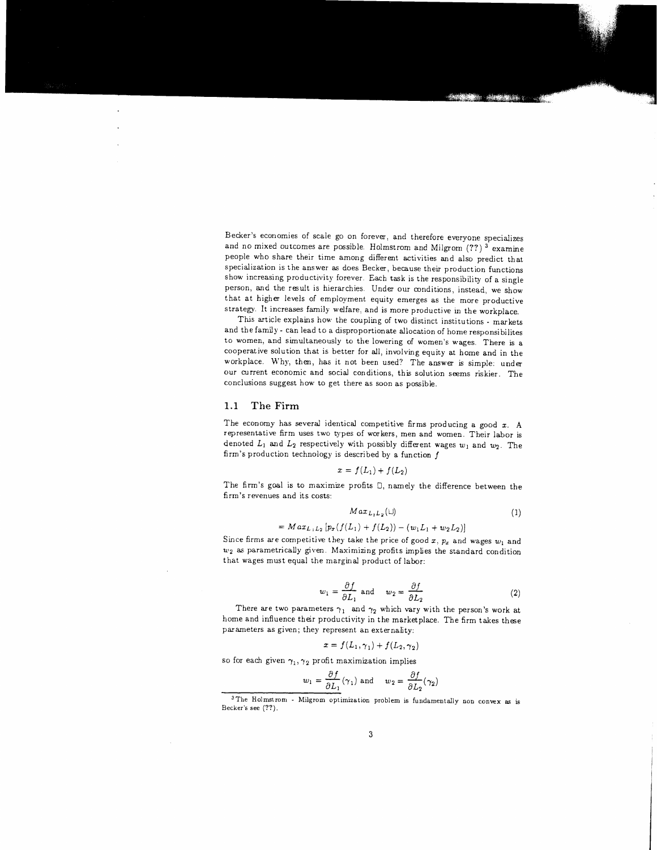Becker's economies of scale go on forever, and therefore everyone specializes and no mixed outcomes are possible. Holmstrom and Milgrom  $(??)^3$  examine people who share their time among different activities and also predict that speciaiization is the answer as does Becker, because their production functions show increasing productivity forever. Each task is the responsibility of a single person, and the result is hierarchies. Under our conditions, instead, we show that at higher leveis of employment equity emerges as the more productive strategy. It increases family welfare, and is more productive in the workplace.

This article explains how the coupling of two distinct institutions - markets and the family - can lead to a disproportionate allocation of home responsibilites to women, and simultaneously to the lowering of women's wages. There is a cooperative solution that is better for all, involving equity at home and in the workplace. Why, then, has it not been used? The answer is simple: under our current economic and social conditions, this solution seems riskier. The conclusions suggest hou' to get there as soon as possible.

### 1.1 The Firm

The economy has several identical competitive firms producing a good  $x$ . A representative firm uses two types of workers, men and women. Their labor is denoted  $L_1$  and  $L_2$  respectively with possibly different wages  $w_1$  and  $w_2$ . The firm's production technology is described by a function  $f$ 

$$
x = f(L_1) + f(L_2)
$$

The firm's goal is to maximize profits  $\Box$ , namely the difference between the firm's revenues and its costs:

$$
Max_{L_1L_2}(\sqcup)
$$
 (1)

**References and the contract of the contract of the contract of the contract of the contract of the contract of** 

$$
= M a x_{L_1 L_2} [p_x(f(L_1) + f(L_2)) - (w_1 L_1 + w_2 L_2)]
$$

Since firms are competitive they take the price of good  $x, p_x$  and wages  $w_1$  and  $w_2$  as parametrically given. Maximizing profits implies the standard condition that wages must equal the marginal product of labor:

$$
w_1 = \frac{\partial f}{\partial L_1} \text{ and } w_2 = \frac{\partial f}{\partial L_2} \tag{2}
$$

There are two parameters  $\gamma_1$  and  $\gamma_2$  which vary with the person's work at home and influence their productivity in the marketplace. The firm takes these parameters as given; they represent an externality:

$$
x = f(L_1, \gamma_1) + f(L_2, \gamma_2)
$$

so for each given  $\gamma_1, \gamma_2$  profit maximization implies

$$
w_1 = \frac{\partial f}{\partial L_1}(\gamma_1)
$$
 and  $w_2 = \frac{\partial f}{\partial L_2}(\gamma_2)$ 

<sup>3</sup>The Holmstrom - Milgrom optimization problem is fundamentally non convex as is Becker's see (??).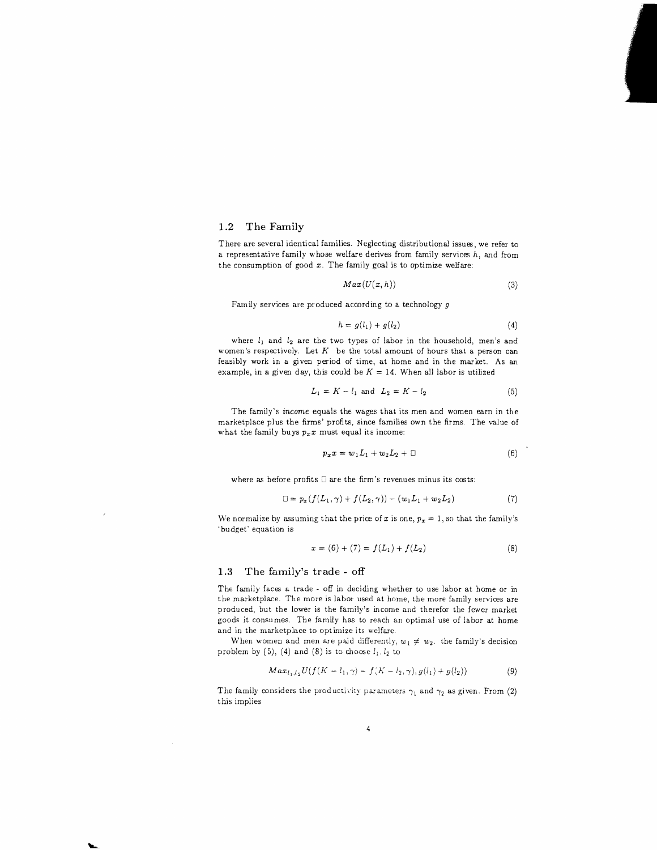### 1.2 The Family

There are several identical families. Negiecting distributional issues, we refer to a representative family whose welfare derives from family services  $h$ , and from the consumption of good  $x$ . The family goal is to optimize welfare:

$$
Max(U(x, h)) \tag{3}
$$

Family services are produced according to a technology  $g$ 

$$
h = g(l_1) + g(l_2)
$$
 (4)

where  $l_1$  and  $l_2$  are the two types of labor in the household, men's and women's respectively. Let  $K$  be the total amount of hours that a person can feasibly work in a given period of time, at home and in the market. As an example, in a given day, this could be  $K = 14$ . When all labor is utilized

$$
L_1 = K - l_1 \text{ and } L_2 = K - l_2 \tag{5}
$$

The family's income equals the wages that its men and women earn in the marketplace plus the firms' profits, since families own the firms. The value of what the family buys  $p_x x$  must equal its income:

$$
p_x x = w_1 L_1 + w_2 L_2 + \Box \tag{6}
$$

where as before profits  $\square$  are the firm's revenues minus its costs:

$$
\Box = p_x(f(L_1, \gamma) + f(L_2, \gamma)) - (w_1 L_1 + w_2 L_2) \tag{7}
$$

We normalize by assuming that the price of x is one,  $p_x = 1$ , so that the family's 'budget' equation is

$$
x = (6) + (7) = f(L_1) + f(L_2)
$$
 (8)

### 1.3 The family's trade - off

The family faces a trade - off in deciding whether to use labor at home or in the marketplace. The more is labor used at home, the more family services are produced, but the lower is the family's income and therefor the fewer market goods it consumes. The family has to reach an optimal use of labor at home and in the marketplace to optimize its welfare.

When women and men are paid differently,  $w_1 \neq w_2$ . the family's decision problem by (5), (4) and (8) is to choose  $l_1, l_2$  to

$$
Max_{l_1,l_2}U(f(K - l_1, \gamma) + f(K - l_2, \gamma), g(l_1) + g(l_2))
$$
\n(9)

The family considers the productivity parameters  $\gamma_1$  and  $\gamma_2$  as given. From (2) this implies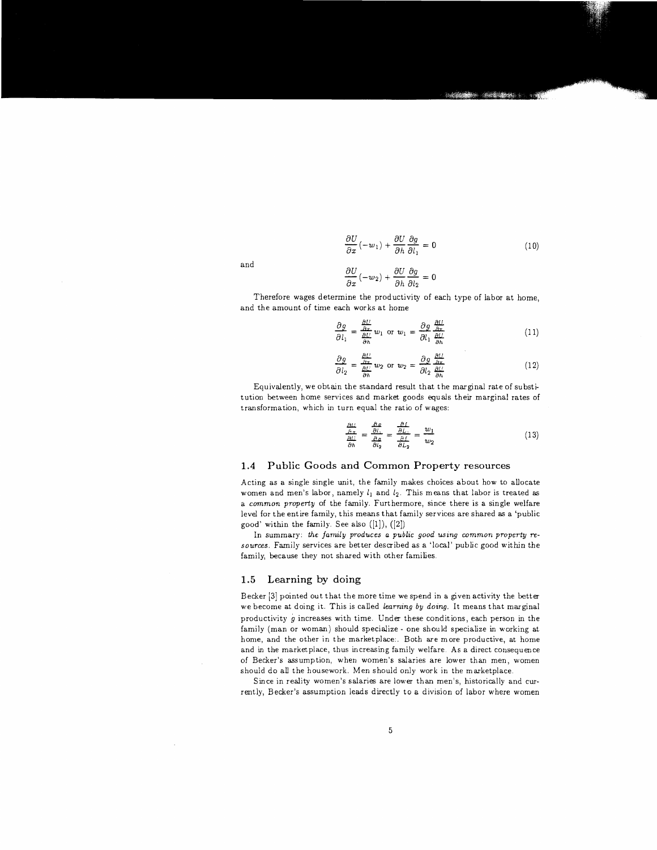$$
\frac{\partial U}{\partial x}(-w_1) + \frac{\partial U}{\partial h}\frac{\partial g}{\partial l_1} = 0
$$
\n(10)

**SPECIAL SECTION** 

and 
$$
\frac{\partial U}{\partial x}(-w_2) + \frac{\partial U}{\partial h}\frac{\partial g}{\partial l_2} = 0
$$

Therefore wages determine the productivity of each type of Iabor at home, and the amount of time each works at home

$$
\frac{\partial g}{\partial l_1} = \frac{\frac{\partial U}{\partial x}}{\frac{\partial U}{\partial h}} w_1 \text{ or } w_1 = \frac{\partial g}{\partial l_1} \frac{\frac{\partial U}{\partial x}}{\frac{\partial U}{\partial h}}
$$
(11)

$$
\frac{\partial g}{\partial l_2} = \frac{\frac{\partial U}{\partial x}}{\frac{\partial U}{\partial h}} w_2 \text{ or } w_2 = \frac{\partial g}{\partial l_2} \frac{\frac{\partial U}{\partial x}}{\frac{\partial U}{\partial h}}
$$
(12)

Equivalently, we oblain the standard result that the marginal rate of substitution between home services and market goods equais their marginal rates of transformation, which in turn equal the ratio of wages:

$$
\frac{\partial L}{\partial x} = \frac{\partial L}{\partial u} = \frac{\partial L}{\partial u} = \frac{\partial L}{\partial u} = \frac{w_1}{w_2}
$$
\n(13)

#### I.4 Public Goods and Common Property resources

Acting as a singie singie unit, the family makes choices about how to allocate women and men's labor, namely  $l_1$  and  $l_2$ . This means that labor is treated as a common property of the family. Furthermore, since there is a single welfare level for the entire family, this means that family services are shared as a 'public good' within the family. See also  $([1]), ([2])$ 

In summary: the family produces a public good using common property resources. Family services are better described as a 'local' public good within the family, because they not shared with other familes.

### 1.5 Learning by doing

Becker [3] pointed out that the more time we spend in a given activity the better we become at doing it. This is called learning by doing. It means that marginal productivity  $g$  increases with time. Under these conditions, each person in the family (man or woman) should specialize - one should specialize in working at home, and the other in the marketplace:. Both are more productive, at home and in the marketplace, thus increasing family welfare. As a direct consequence of Becker's assumption, when women's salaries are lower than men, women should do all the housework. Men should only work in the marketplace.

Since in reality women's salaries are Iower than men's, historically and currentiy, Becker's assumption leads directly to a division of labor where women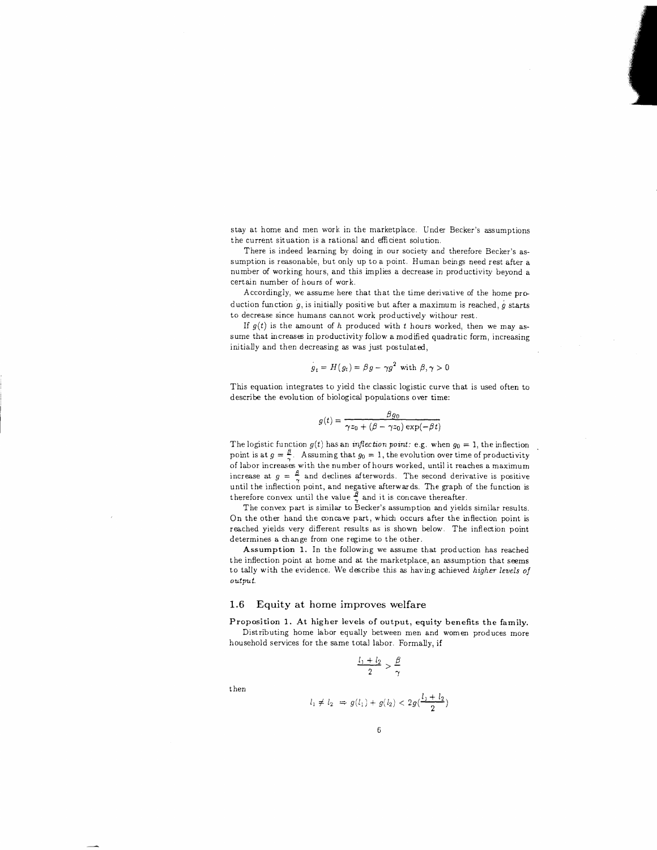stay at home and men work in the marketplace. Under Becker's assumptions the current situation is a rational and efficient solution.

There is indeed learning by doing in our society and therefore Becker's assumption is reasonable, but only up to a point. Human beings need rest after a number of working hours, and this implies a decrease in productivity beyond a certain number of hours of work.

Accordingly, we assume here that that the time derivative of the home production function  $g$ , is initially positive but after a maximum is reached,  $g$  starts to decrease since humans cannot work productively withour rest.

If  $g(t)$  is the amount of h produced with t hours worked, then we may assume that increases in productivity follow a modified quadratic form, increasing initialiy and then decreasing as was just postulated,

$$
g_t = H(g_t) = \beta g - \gamma g^2
$$
 with  $\beta, \gamma > 0$ 

This equation integrates to yield the ciassic logistic curve that is used often to describe the evolution of biological populations over time:

$$
g(t) = \frac{\beta g_0}{\gamma z_0 + (\beta - \gamma z_0) \exp(-\beta t)}
$$

The logistic function  $g(t)$  has an *inflection point:* e.g. when  $g_0 = 1$ , the inflection point is at  $g = \frac{\beta}{\gamma}$ . Assuming that  $g_0 = 1$ , the evolution over time of productivity of labor increases u'ith the number of hours worked, until it reaches a maximum increase at  $g = \frac{\beta}{\gamma}$  and declines afterwords. The second derivative is positive until the inflection point, and negative afterwards. The graph of the function is therefore convex until the value  $\frac{B}{\gamma}$  and it is concave thereafter.

The convex part is similar to Becker's assumption and yields similar results. On the other hand the concave part, which occurs after the inflection point is reached yields very different results as is shown belou'. The inffection point determines a change from one regime to the other.

Assumption 1. In the following we assume that production has reached the inflection point at home and at the marketplace, an assumption that seems to tally with the evidence. We describe this as having achieved higher levels of output.

# 1.6 Equity at home improves welfare

Proposition 1. At higher levels of output, equity benefits the family. Distributing home labor equally between men and women produces more household services for the same total labor. Formally, if

$$
\frac{l_1 + l_2}{2} > \frac{\beta}{\gamma}
$$

then

$$
l_1 \neq l_2 \Rightarrow g(l_1) + g(l_2) < 2g\left(\frac{l_1 + l_2}{2}\right)
$$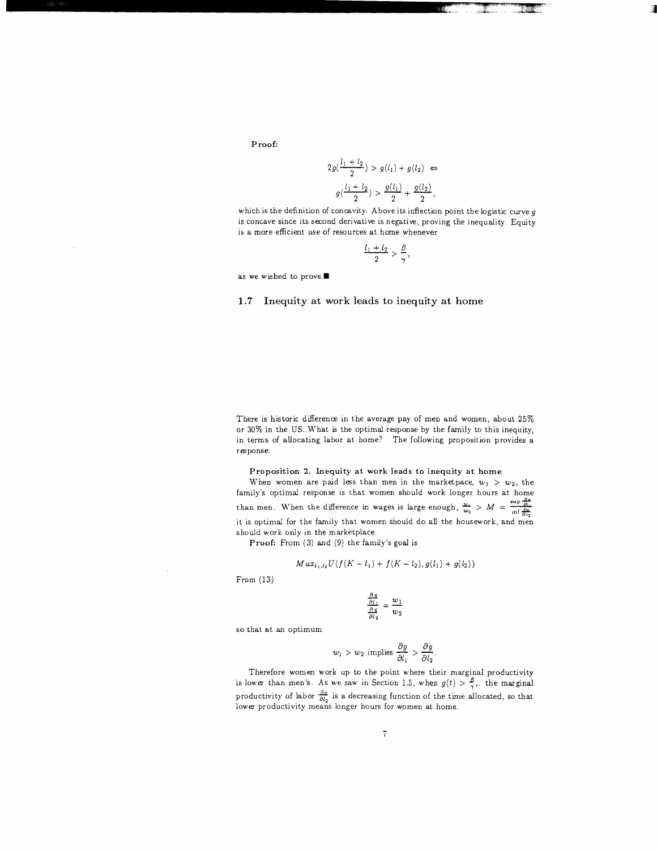Proof:

$$
2g(\frac{l_1 + l_2}{2}) > g(l_1) + g(l_2) \Leftrightarrow
$$
  

$$
g(\frac{l_1 + l_2}{2}) > \frac{g(l_1)}{2} + \frac{g(l_2)}{2},
$$

which is the definition of concavity. Above its inflection point the logistic curve  $g$ is concave since its second derivative is negative, proving the inequality. Equity is a more efficient use of resources at home whenever

$$
\frac{l_1+l_2}{2} > \frac{\beta}{\gamma},
$$

as we wished to prove.

### 1.7 Inequity at work leads to inequity at home

There is historic difference in the average pay of men and women, about 25% or 30% in the US. What is the optimal response by the family to this inequity, in terms of allocating labor at home? The following proposition provides a response:

#### Proposition 2. Inequity at work leads to inequity at home

When women are paid less than men in the marketpace,  $w_1 > w_2$ , the family's optimal response is that women should work longer hours at home than men. When the difference in wages is large enough,  $\frac{w_1}{w_2} > M = \frac{\sup_{\text{sup}} \frac{du}{dt}}{\inf_{\frac{du}{dt}}}$ it is optimal for the family that women should do all the housework, and men should work only in the marketplace.

Proof: From (3) and (9) the family's goal is

$$
Max_{l_1,l_2}U(f(K-l_1)+f(K-l_2),g(l_1)+g(l_2))
$$

From (13)

$$
\frac{\frac{\partial g}{\partial l_1}}{\frac{\partial g}{\partial l_2}} = \frac{w_1}{w_2}
$$

so that at an optimum

$$
w_1 > w_2
$$
 implies  $\frac{\partial g}{\partial l_1} > \frac{\partial g}{\partial l_2}$ .

Therefore women work up to the point where their marginal productivity is lower than men's. As we saw in Section 1.5, when  $g(t) > \frac{g}{\gamma}$ , the marginal productivity of labor  $\frac{d\mu}{dI_2}$  is a decreasing function of the time allocated, so that lower productivity means longer hours for women at home.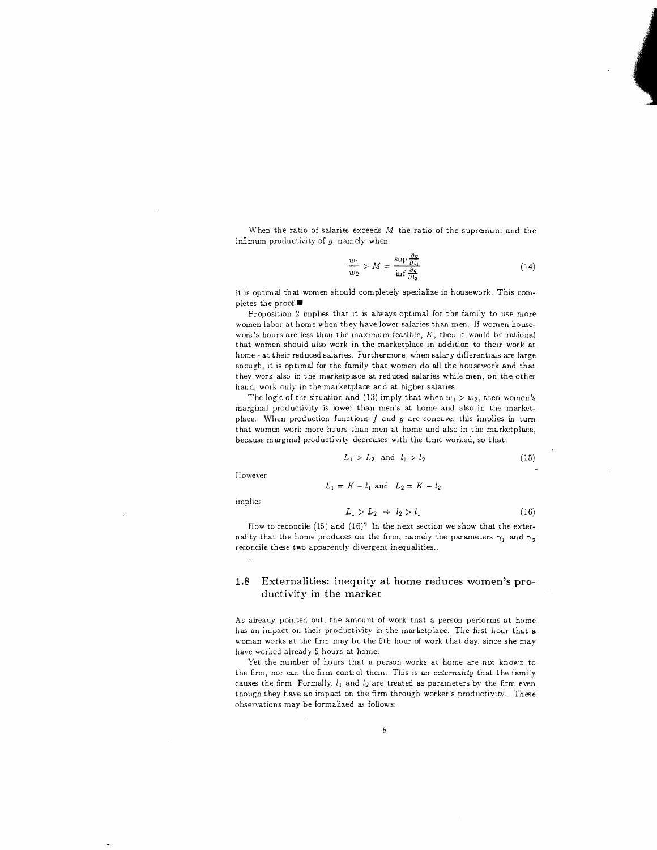When the ratio of salaries exceeds  $M$  the ratio of the supremum and the infimum productivity of  $g$ , namely when

$$
\frac{w_1}{w_2} > M = \frac{\sup \frac{\partial q}{\partial t_1}}{\inf \frac{\partial q}{\partial t_2}}\tag{14}
$$

it is optimal that women should completely specialize in housework. This completes the proof.

Proposition 2 implies that it is always optimal for the family to use more women labor at home when they have lower saiaries than men. If women housework's hours are less than the maximum feasible,  $K$ , then it would be rational that women should also work in the marketplace in addition to their work at home - at their reduced salaries. Furthermore, when salary differentials are large enough, it is optimal for the family that women do all the housework and that they work also in the marketplace at reduced saiaries while men, on the other hand, work only in the marketplace and at higher salaries.

The logic of the situation and (13) imply that when  $w_1 > w_2$ , then women's margina) productivity is )ower than men's at home and also in the marketplace. When production functions  $f$  and  $g$  are concave, this implies in turn that women work more hours than men at home and also in the marketplace, because marginal productivity decreases with the time worked, so that:

$$
L_1 > L_2 \quad \text{and} \quad l_1 > l_2 \tag{15}
$$

However

impiies

$$
L_1 > L_2 \Rightarrow l_2 > l_1 \tag{16}
$$

How to reconciie (15) and (16)? In the next section we show that the externality that the home produces on the firm, namely the parameters  $\gamma_1$  and  $\gamma_2$ reconcile these two apparently divergent inequalities..

 $L_1 = K - l_1$  and  $L_2 = K - l_2$ 

### 1.8 Externalities: inequity at home reduces women's productivity in the market

As already pointed out, the amount of work that a person performs at home has an impact on their productivity in the marketplace. The first hour that a woman works at the firm may be the 6th hour of work that day, since she may have worked already 5 hours at home.

Yet the number of hours that a person works at home are not known to the firm, nor can the firm control them. This is an externality that the family causes the firm. Formally,  $l_1$  and  $l_2$  are treated as parameters by the firm even though they have an impact on the firm through worker's productivig'.. These observations may be formalized as follows: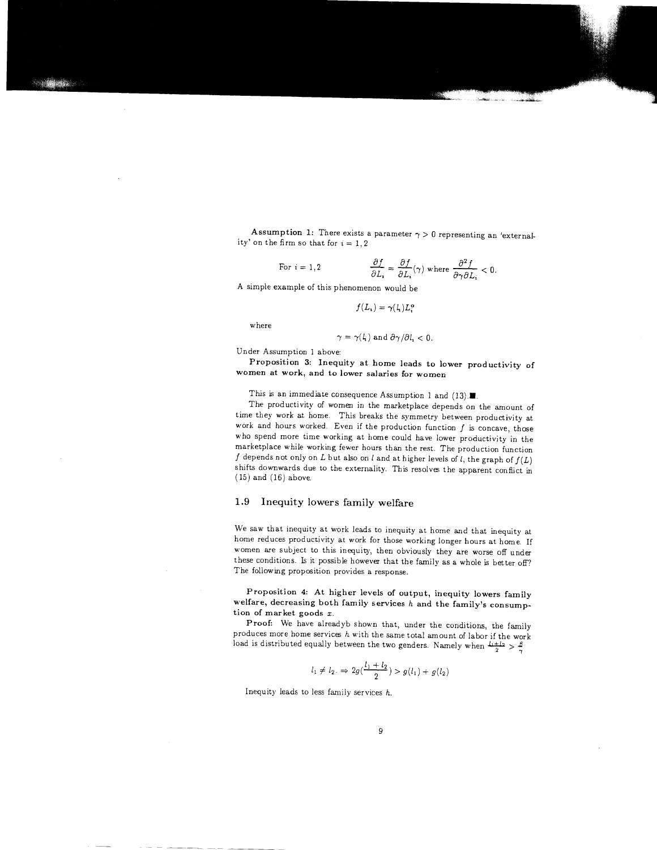Assumption 1: There exists a parameter  $\gamma > 0$  representing an 'externality' on the firm so that for  $i = 1,2$ 

For 
$$
i = 1, 2
$$
 
$$
\frac{\partial f}{\partial L_i} = \frac{\partial f}{\partial L_i}(\gamma) \text{ where } \frac{\partial^2 f}{\partial \gamma \partial L_i} < 0.
$$

A simpie example of this phenomenon would be

$$
f(L_i) = \gamma(\mathcal{L}) L_i^{\alpha}
$$

where

**THE SECTION** 

$$
\gamma = \gamma(\ell_i) \text{ and } \partial \gamma / \partial l_i < 0.
$$

Under Assumption 1 above:

Proposition 3: Inequity at home leads to lower productivity of women at work, and to lower salaries for women

This is an immediate consequence Assumption 1 and (13).

The productivity of women in the marketplace depends on the amount of time they work at home. This breaks the symmetry between productivity at work and hours worked. Even if the production function  $f$  is concave, those u'ho spend more time working at home could have lower productivity in the marketplace while working fewer hours than the rest. The production function  $f$  depends not only on  $L$  but also on  $l$  and at higher levels of  $l$ , the graph of  $f(L)$ shifts downwards due to the externality. This resolves the apparent conflict in  $(15)$  and  $(16)$  above.

### 1.9 Inequity lowers family welfare

We saw that inequity at work leads to inequity at home and that inequity at home reduces productivity at work for those working longer hours at home. If women are subject to this inequity, then obviously they are worse off under these conditions. Is it possible however that the family as a whole is better off? The following proposition provides a response.

Proposition 4: At higher levels of output, inequity lowers family welfare, decreasing both family services  $h$  and the family's consumption of market goods  $x$ .

Proof: We have alreadyb shown that, under the conditions, the family produces more home services  $h$  with the same total amount of labor if the work load is distributed equally between the two genders. Namely when  $\frac{1+1}{2} > \frac{1}{2}$ 

$$
l_1 \neq l_2 \Rightarrow 2g(\frac{l_1 + l_2}{2}) > g(l_1) + g(l_2)
$$

Inequity leads to less family services  $h$ .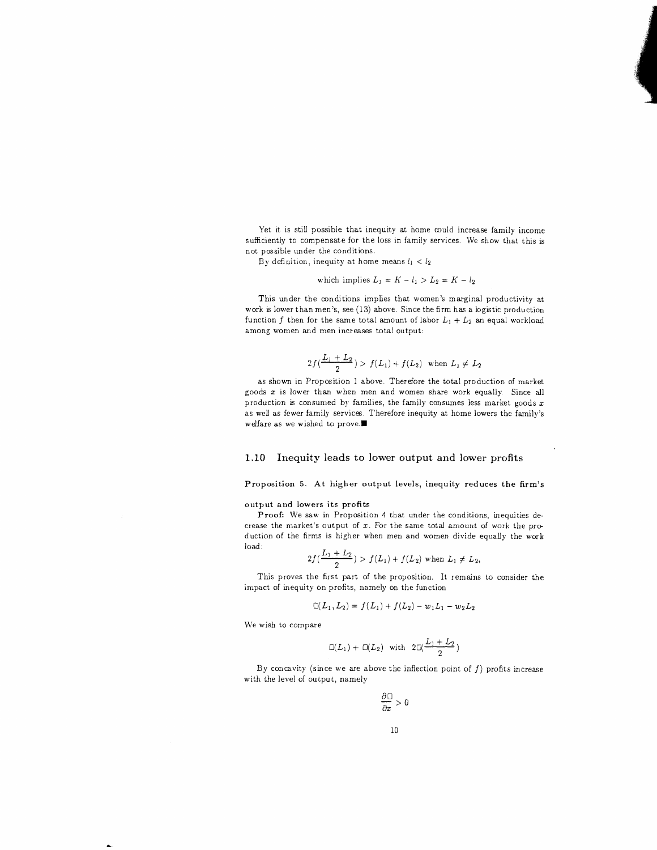Yet it is still possible that inequity at home could increase family income sufficienlly to compensate for the loss in family services. We show that this is not possible under the conditions.

By definition, inequity at home means  $l_1 < l_2$ 

which implies  $L_1 = K - l_1 > L_2 = K - l_2$ 

This under the conditions implies that women's marginal productivity at work is lower than men's, see (13) above. Since the firm has a Iogistic production function f then for the same total amount of labor  $L_1 + L_2$  an equal workload among women and men increases total output:

$$
2f(\frac{L_1 + L_2}{2}) > f(L_1) + f(L_2) \text{ when } L_1 \neq L_2
$$

as shown in Proposition 1 above. Therefore the botal production of market goods  $x$  is lower than when men and women share work equally. Since all production is consumed by families, the family consumes less market goods  $x$ as well as fewer family services. Therefore inequity at home lowers the family's welfare as we wished to prove.

#### 1.10 Inequity leads to lower output and lower profits

Proposition 5. At higher output levels, inequity reduces the firm's

output and lowers its profits

Proof: We saw in Proposition 4 that under the conditions, inequities decrease the market's output of  $x$ . For the same total amount of work the production of the firms is higher when men and women divide equally the work load:

$$
2f(\frac{L_1+L_2}{2}) > f(L_1) + f(L_2)
$$
 when  $L_1 \neq L_2$ ,

This proves the first part of the proposition. It remains to consider the impact of inequity on profits, namely on the function

$$
\Box(L_1, L_2) = f(L_1) + f(L_2) - w_1 L_1 - w_2 L_2
$$

We wish to compaxe

۸

$$
\Box(L_1) + \Box(L_2) \quad \text{with} \quad 2\Box(\frac{L_1 + L_2}{2})
$$

By concavity (since we are above the inflection point of  $f$ ) profits increase with the level of output, nameiy

$$
\frac{\partial \Box}{\partial x} > 0
$$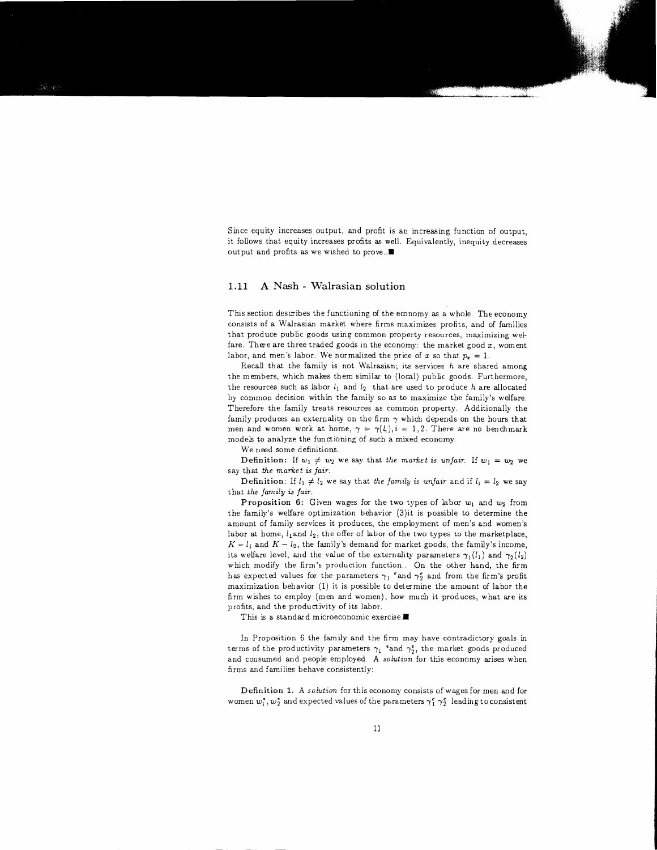Since equity increases output, and profit is an increasing function of output, it follows that equity increases profits as well. Equivalently, inequity decreases output and profits as we wished to prove,.I

#### 1.11 A Nash - Walrasian solution

This section describes the functioning of the economy as a whole. The economy consists of a Walrasian market u'here firms maximizes profits, and of families that produce public goods using common property resources, maximizing welfare. There are three traded goods in the economy: the market good  $x$ , woment labor, and men's labor. We normalized the price of x so that  $p_x = 1$ .

Recall that the family is not Walrasian; its services  $h$  are shared among the members, which makes them similar to (local) public goods. Furthermore, the resources such as labor  $l_1$  and  $l_2$  that are used to produce h are allocated by common decision within the family so as to maximize the family's welfare. Therefore the family treats resources as common property. Additionally the family produces an externality on the firm  $\gamma$  which depends on the hours that men and women work at home,  $\gamma = \gamma(l_1), i = 1,2$ . There are no benchmark models to analyze the functioning of such a mixed economy.

We need some definitions.

Definition: If  $w_1 \neq w_2$  we say that the market is unfair. If  $w_1 = w_2$  we say that the market is fair.

Definition: If  $l_1 \neq l_2$  we say that the family is unfair and if  $l_1 = l_2$  we say that the family is fair.

Proposition 6: Given wages for the two types of labor  $w_1$  and  $w_2$  from the family's weHare optimization behavior (3)it is possible to determine the amount of family services it produces, the employment of men's and women's labor at home,  $l_1$  and  $l_2$ , the offer of labor of the two types to the marketplace,  $K - l_1$  and  $K - l_2$ , the family's demand for market goods, the family's income, its welfare level, and the value of the externality parameters  $\gamma_1(l_1)$  and  $\gamma_2(l_2)$ which modify the firm's production function.. On the other hand, the firm has expected values for the parameters  $\gamma_1$  <sup>e</sup> and  $\gamma_2^e$  and from the firm's profi maximization behavior (1) it is possible to determine the amount of labor the firm wishes to employ (men and women), hou'much it produces, what are its profits, and the productivity of its labor.

This is a standard microeconomic exercise.

In Proposition 6 the family and the firm may have contradictory goals in terms of the productivity parameters  $\gamma_1$  <sup>e</sup>and  $\gamma_2^\epsilon$ , the market goods produced and consumed and people employed. A solution for this economy arises when firms and famiiies behave consistently:

Definition L. A solution for this economy consists of wages for men and for women  $w_1^*, w_2^*$  and expected values of the parameters  $\gamma_1^e \gamma_2^e$  leading to consistent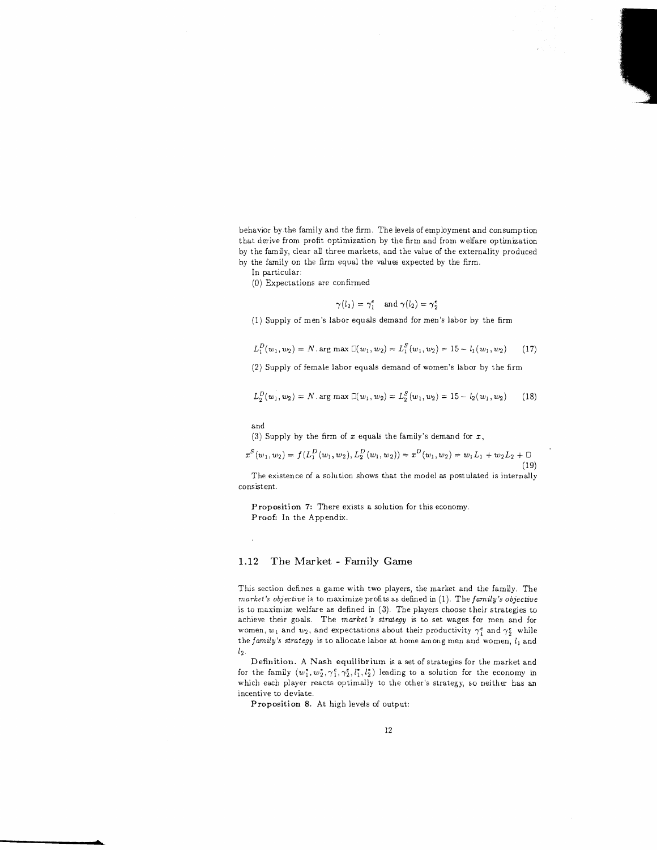behavior by the family and the firni. The levels of employment and consumption that derive from profit optimization by the firm and from welfare optimization by the family, ciear all three markets, and the value of the externality produced by the family on the firm equal the values expected by the firm.

In particular:

 $(0)$  Expectations are confirmed

$$
\gamma(l_1) = \gamma_1^e \quad \text{and } \gamma(l_2) = \gamma_2^e
$$

(1) Supply of men's labor equals demand for men's iabor by the firm

$$
L_1^D(w_1, w_2) = N \cdot \arg \max \Box(w_1, w_2) = L_1^S(w_1, w_2) = 15 - l_1(w_1, w_2) \tag{17}
$$

(2) Suppiy of female labor equals demand of women's iabor by the firm

$$
L_2^D(w_1, w_2) = N \cdot \arg \max \Box(w_1, w_2) = L_2^S(w_1, w_2) = 15 - l_2(w_1, w_2)
$$
 (18)

and

(3) Supply by the firm of  $x$  equals the family's demand for  $x$ ,

$$
x^{S}(w_{1}, w_{2}) = f(L_{1}^{D}(w_{1}, w_{2}), L_{2}^{D}(w_{1}, w_{2})) = x^{D}(w_{1}, w_{2}) = w_{1}L_{1} + w_{2}L_{2} + \Box
$$
\n(19)

The existence of a solution shows that the model as postulated is internally consislent.

Proposition 7: There exists a solution for this economy. Proof: In the Appendix.

### 1.12 The Market - Family Game

This section defines a game with two players, the market and the family. The market's objective is to maximize profits as defined in  $(1)$ . The family's objective is to maximize welfare as defined in  $(3)$ . The players choose their strategies to achieve their goals. The market's strategy is to set wages for men and for women,  $w_1$  and  $w_2$ , and expectations about their productivity  $\gamma_1^e$  and  $\gamma_2^e$  while the family's strategy is to allocate labor at home among men and women,  $l_1$  and  $l_2$ .

Definition. A Nash equilibrium is a set of strategies for the market and for the family  $(w_1^*,w_2^*,\gamma_1^e,\gamma_2^e,l_1^*,l_2^*)$  leading to a solution for the economy in which each player reacts optimally to the other's strategy, so neither has an incentive to deviate.

Proposition 8. At high levels of output: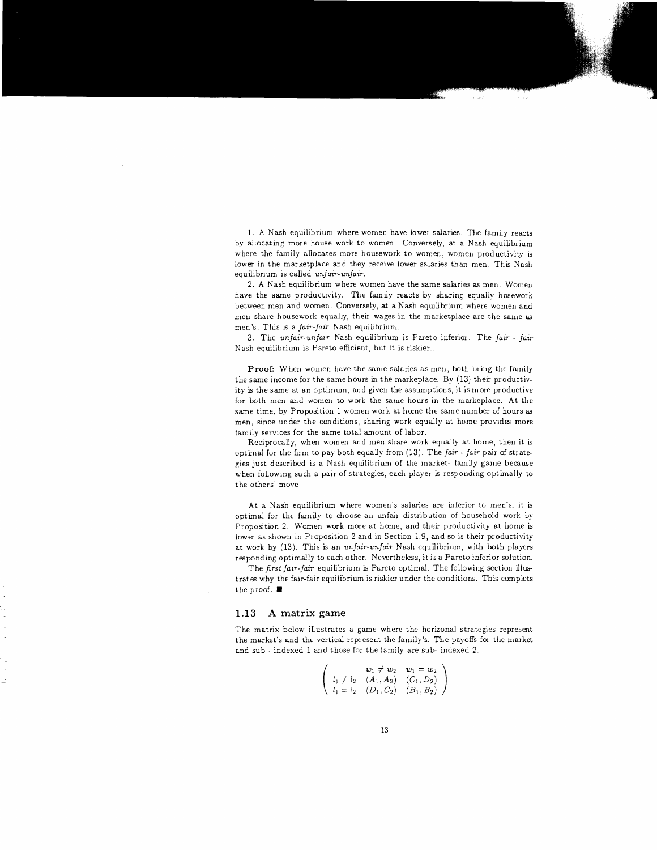1. A Nash equilibrium where women have lower salaries. The family reacts by allocating more house work to women. Conversely, at a Nash equilibrium where the family allocates more housework to women, women productivity is lower in the marketplace and they receive lower salaries than men. This Nash equilibrium is called  $unfair-unfair$ .

2. A Nash equilibrium where women have the same salaries as men. Women have the same productivity. The family reacts by sharing equally hosework between men and women. Conversely, at a Nash equilibrium where women and men share housework equaliy, their wages in the marketplace are the same as men's. This is a fotr-fair Nash equilibrium.

3. The unfair-unfair Nash equilibrium is Pareto inferior. The fair - fair Nash equilibrium is Pareto efficient, but it is riskier..

Proof: When women have the same salaries as men, both bring the family the same income for the same hours in the markeplace. By (13) their productivity is thesame at an optimum, and given the assumptions, it ismore productive for both men and women to work the same hours in the markeplace. At the same time, by Proposition 1 women work at home the same number of hours as men, since under the conditions, sharing work equally at home provides more family services for the same total amount of labor.

Reciprocally, when women and men share work equally at home, then it is optimal for the firm to pay both equally from  $(13)$ . The fair - fair pair of strategies just described is a Nash equilibrium of the market- family game because when following such a pair of strategies, each player is responding optimally to the others' move.

At a Nash equilibrium where women's salaries are inferior to men's, it is optimal for the family to choose an unfair distribution of household work by Proposition 2. Women work more at home, and their productivity at home is lower as shown in Proposition 2 and in Section 1.9, and so is their productivity at work by (13). This is an unfair-unfair Nash equilibrium, with both players responding optimally to each other. Nevertheless, it is a Pareto inferior solution.

The first fair-fair equilibrium is Pareto optimal. The following section illustrates u'hy the fair-fair equilibrium is riskier under the conditions. This complets the proof.  $\blacksquare$ 

#### 1.13 A matrix game

ż

The matrix below illustrates a game where the horizonal strategies represent the market's and the vertical represent the family's. The payoffs for the market and sub - indexed 1 and those for the family are sub indexed 2.

$$
\begin{pmatrix} w_1 \neq w_2 & w_1 = w_2 \\ l_1 \neq l_2 & (A_1, A_2) & (C_1, D_2) \\ l_1 = l_2 & (D_1, C_2) & (B_1, B_2) \end{pmatrix}
$$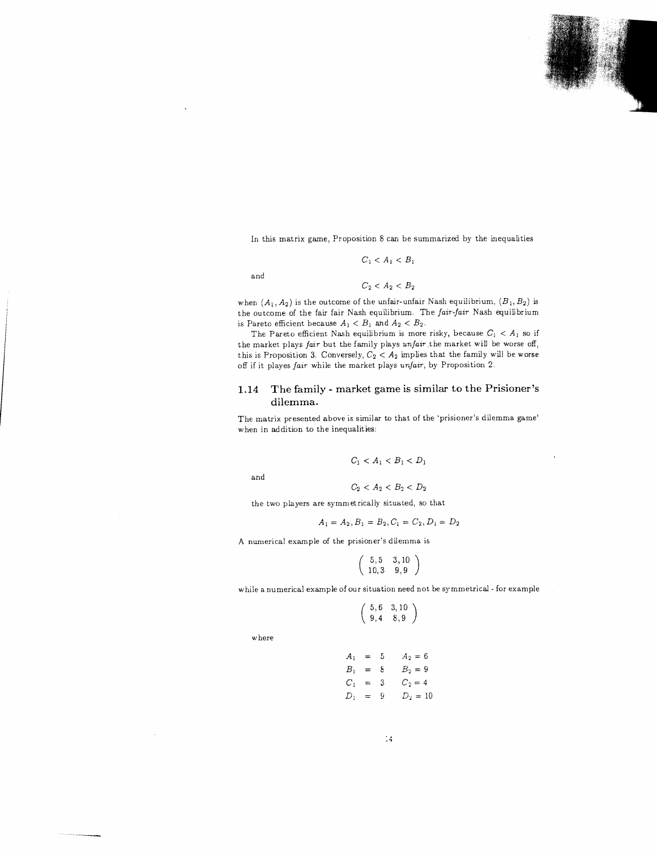In this matrix game, Proposition  $8$  can be summarized by the inequalities

$$
C_1 < A_1 < B_1
$$

and

$$
C_2 < A_2 < B_2
$$

when  $(A_1, A_2)$  is the outcome of the unfair-unfair Nash equilibrium,  $(B_1, B_2)$  is the outcome of the fair fair Nash equilibrium. The fair-fair Nash equilibrium is Pareto efficient because  $A_1 < B_1$  and  $A_2 < B_2$ .

The Pareto efficient Nash equilibrium is more risky, because  $C_1 < A_1$  so if the market plays  $fair$  but the family plays unfair the market will be worse off, this is Proposition 3. Conversely,  $C_2 < A_2$  implies that the family will be worse off if it playes fair while the market plays unfair, by Proposition 2.

# 1.14 The family - market game is similar to the Prisioner's dilemma.

The matrix presented above is similar to that of the 'prisioner's dilemma game' when in addition to the inequalities:

$$
C_1 < A_1 < B_1 < D_1
$$

and

$$
C_2 < A_2 < B_2 < D_2
$$

the two players are symmetrically situated, so that

$$
A_1 = A_2, B_1 = B_2, C_1 = C_2, D_1 = D_2
$$

A numerical example of the prisioner's dilernma is

 $\begin{pmatrix} 5,5 & 3,10 \end{pmatrix}$  $(10,3 \t9,9)$ 

while a numerical example of our situation need not be symmetrical - for example

$$
\left(\begin{array}{cc}5,6&3,10\\9,4&8,9\end{array}\right)
$$

where

 $A_1 = 5$  $B_1 = 8$  $C_1$  = 3  $D_1$  = 9  $A_2=6$  $B_2=9$  $C_2=4$  $D_2 = 10$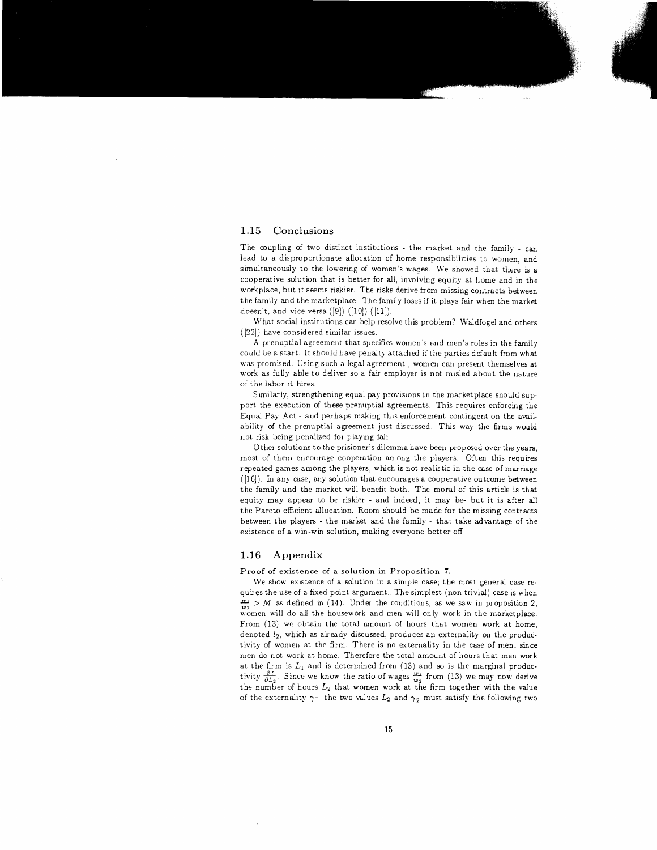### 1.15 Conclusions

The coupling of two distinct institutions - the market and the family - can lead to a disproportionate allocation of home responsibilities to women, and simuitaneously to the lowering of women's wages. We showed that there is a cooperative solution that is better for all, involving equity at home and in the workplace, but it seems riskier. The risks derive from missing contracts between the family and the marketplace. The family loses if it plays fair when the market doesn't, and vice versa. $([9]) ([10]) ([11])$ .

What social institutions can help resolve this problem? Waldfogel and others  $([22])$  have considered similar issues.

A prenuptial agreement that specifies women's and men's roles in the family could be a start. It should have penalty attached if the parties default from what was promised. Using such a Iegal agreement , women can present themselves at work as fully able to deliver so a fair employer is not misled about the nature of the labor it hires.

Similarly, strengthening equal pay provisions in the marketplace should sup port the execution of these prenuptial agreements. This requires enforcing the Equal Pay Act - and perhaps making this enforcement contingent on the availability of the prenuptial agreement just discussed. This way the firms would not risk being penalized for playing fair.

Other solutions to the prisioner's diiemma have been proposed over the years, most of them encourage cooperation among the players. Often this requires repeated games among the players, which is not realistic in the case of marriage  $([16])$ . In any case, any solution that encourages a cooperative outcome between the family and the market will benefit both. The moral of this article is that equity may appear to be riskier - and indeed, it may be- but it is after all the Pareto efficient aliocation. Room should be made for the missing contracts between the players - the market and the family - that take advantage of the existence of a win-win solution, making everyone better off.

#### 1.16 Appendix

#### Proof of existence of a solution in Proposition 7.

We show existence of a solution in a simple case; the most general case requires the use of a fixed point argument.. The simplest (non trivial) case is when  $\frac{w_1}{w_2} > M$  as defined in (14). Under the conditions, as we saw in proposition 2, w<sub>2</sub> women will do all the housework and men will only work in the marketplace. From (13) we obtain the total amount of hours that women work at home, denoted  $l_2$ , which as already discussed, produces an externality on the productivity of women at the firm. There is no externality in the case of men, since men do not work at home. Therefore the total amount of hours that men work at the firm is  $L_1$  and is determined from (13) and so is the marginal productivity  $\frac{dE}{dL_2}$ . Since we know the ratio of wages  $\frac{dE}{dL_2}$  from (13) we may now derive<br>the number of hours  $L_2$  that women work at the firm together with the value of the externality  $\gamma$ - the two values  $L_2$  and  $\gamma_2$  must satisfy the following two